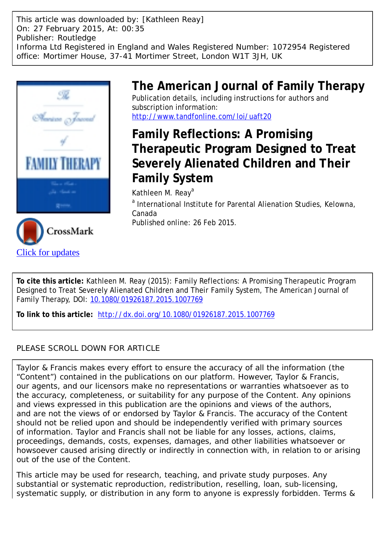This article was downloaded by: [Kathleen Reay] On: 27 February 2015, At: 00:35 Publisher: Routledge Informa Ltd Registered in England and Wales Registered Number: 1072954 Registered office: Mortimer House, 37-41 Mortimer Street, London W1T 3JH, UK





# **The American Journal of Family Therapy**

Publication details, including instructions for authors and subscription information: <http://www.tandfonline.com/loi/uaft20>

# **Family Reflections: A Promising Therapeutic Program Designed to Treat Severely Alienated Children and Their Family System**

Kathleen M. Reay<sup>a</sup> <sup>a</sup> International Institute for Parental Alienation Studies, Kelowna, Canada Published online: 26 Feb 2015.

**To cite this article:** Kathleen M. Reay (2015): Family Reflections: A Promising Therapeutic Program Designed to Treat Severely Alienated Children and Their Family System, The American Journal of Family Therapy, DOI: [10.1080/01926187.2015.1007769](http://www.tandfonline.com/action/showCitFormats?doi=10.1080/01926187.2015.1007769)

**To link to this article:** <http://dx.doi.org/10.1080/01926187.2015.1007769>

### PLEASE SCROLL DOWN FOR ARTICLE

Taylor & Francis makes every effort to ensure the accuracy of all the information (the "Content") contained in the publications on our platform. However, Taylor & Francis, our agents, and our licensors make no representations or warranties whatsoever as to the accuracy, completeness, or suitability for any purpose of the Content. Any opinions and views expressed in this publication are the opinions and views of the authors, and are not the views of or endorsed by Taylor & Francis. The accuracy of the Content should not be relied upon and should be independently verified with primary sources of information. Taylor and Francis shall not be liable for any losses, actions, claims, proceedings, demands, costs, expenses, damages, and other liabilities whatsoever or howsoever caused arising directly or indirectly in connection with, in relation to or arising out of the use of the Content.

This article may be used for research, teaching, and private study purposes. Any substantial or systematic reproduction, redistribution, reselling, loan, sub-licensing, systematic supply, or distribution in any form to anyone is expressly forbidden. Terms &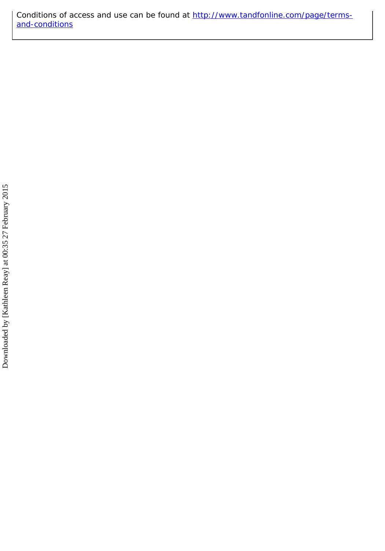Conditions of access and use can be found at [http://www.tandfonline.com/page/terms](http://www.tandfonline.com/page/terms-and-conditions)[and-conditions](http://www.tandfonline.com/page/terms-and-conditions)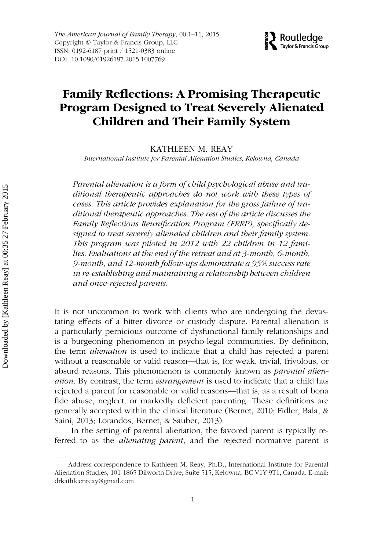#### **EXP** Routledge Taylor & Francis Group

## **Family Reflections: A Promising Therapeutic Program Designed to Treat Severely Alienated Children and Their Family System**

#### KATHLEEN M. REAY

*International Institute for Parental Alienation Studies, Kelowna, Canada*

*Parental alienation is a form of child psychological abuse and traditional therapeutic approaches do not work with these types of cases. This article provides explanation for the gross failure of traditional therapeutic approaches. The rest of the article discusses the Family Reflections Reunification Program (FRRP), specifically designed to treat severely alienated children and their family system. This program was piloted in 2012 with 22 children in 12 families. Evaluations at the end of the retreat and at 3-month, 6-month, 9-month, and 12-month follow-ups demonstrate a 95% success rate in re-establishing and maintaining a relationship between children and once-rejected parents.*

It is not uncommon to work with clients who are undergoing the devastating effects of a bitter divorce or custody dispute. Parental alienation is a particularly pernicious outcome of dysfunctional family relationships and is a burgeoning phenomenon in psycho-legal communities. By definition, the term *alienation* is used to indicate that a child has rejected a parent without a reasonable or valid reason—that is, for weak, trivial, frivolous, or absurd reasons. This phenomenon is commonly known as *parental alienation*. By contrast, the term *estrangement* is used to indicate that a child has rejected a parent for reasonable or valid reasons—that is, as a result of bona fide abuse, neglect, or markedly deficient parenting. These definitions are generally accepted within the clinical literature (Bernet, 2010; Fidler, Bala, & Saini, 2013; Lorandos, Bernet, & Sauber, 2013).

In the setting of parental alienation, the favored parent is typically referred to as the *alienating parent*, and the rejected normative parent is

Address correspondence to Kathleen M. Reay, Ph.D., International Institute for Parental Alienation Studies, 101-1865 Dilworth Drive, Suite 515, Kelowna, BC V1Y 9T1, Canada. E-mail: drkathleenreay@gmail.com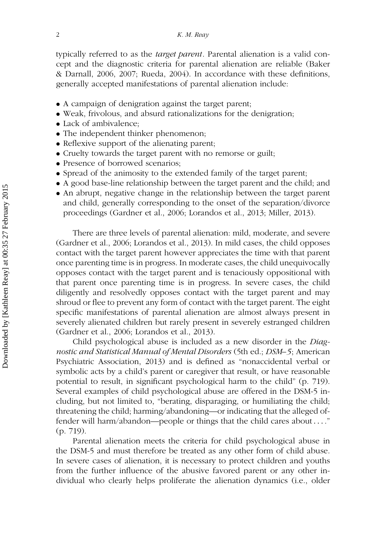typically referred to as the *target parent*. Parental alienation is a valid concept and the diagnostic criteria for parental alienation are reliable (Baker & Darnall, 2006, 2007; Rueda, 2004). In accordance with these definitions, generally accepted manifestations of parental alienation include:

- A campaign of denigration against the target parent;
- Weak, frivolous, and absurd rationalizations for the denigration;
- Lack of ambivalence:
- The independent thinker phenomenon;
- Reflexive support of the alienating parent;
- Cruelty towards the target parent with no remorse or guilt;
- Presence of borrowed scenarios:
- Spread of the animosity to the extended family of the target parent;
- A good base-line relationship between the target parent and the child; and
- An abrupt, negative change in the relationship between the target parent and child, generally corresponding to the onset of the separation/divorce proceedings (Gardner et al., 2006; Lorandos et al., 2013; Miller, 2013).

There are three levels of parental alienation: mild, moderate, and severe (Gardner et al., 2006; Lorandos et al., 2013). In mild cases, the child opposes contact with the target parent however appreciates the time with that parent once parenting time is in progress. In moderate cases, the child unequivocally opposes contact with the target parent and is tenaciously oppositional with that parent once parenting time is in progress. In severe cases, the child diligently and resolvedly opposes contact with the target parent and may shroud or flee to prevent any form of contact with the target parent. The eight specific manifestations of parental alienation are almost always present in severely alienated children but rarely present in severely estranged children (Gardner et al., 2006; Lorandos et al., 2013).

Child psychological abuse is included as a new disorder in the *Diagnostic and Statistical Manual of Mental Disorders* (5th ed.; *DSM–5*; American Psychiatric Association, 2013) and is defined as "nonaccidental verbal or symbolic acts by a child's parent or caregiver that result, or have reasonable potential to result, in significant psychological harm to the child" (p. 719). Several examples of child psychological abuse are offered in the DSM-5 including, but not limited to, "berating, disparaging, or humiliating the child; threatening the child; harming/abandoning—or indicating that the alleged offender will harm/abandon—people or things that the child cares about *...* ." (p. 719).

Parental alienation meets the criteria for child psychological abuse in the DSM-5 and must therefore be treated as any other form of child abuse. In severe cases of alienation, it is necessary to protect children and youths from the further influence of the abusive favored parent or any other individual who clearly helps proliferate the alienation dynamics (i.e., older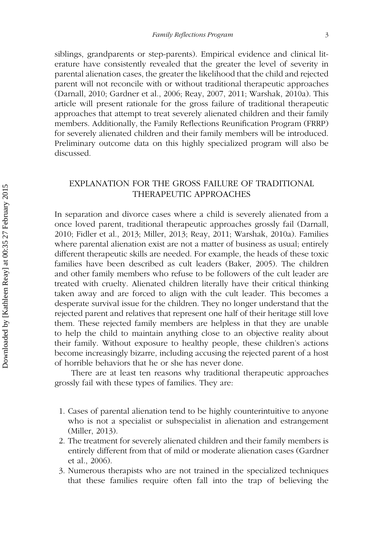siblings, grandparents or step-parents). Empirical evidence and clinical literature have consistently revealed that the greater the level of severity in parental alienation cases, the greater the likelihood that the child and rejected parent will not reconcile with or without traditional therapeutic approaches (Darnall, 2010; Gardner et al., 2006; Reay, 2007, 2011; Warshak, 2010a). This article will present rationale for the gross failure of traditional therapeutic approaches that attempt to treat severely alienated children and their family members. Additionally, the Family Reflections Reunification Program (FRRP) for severely alienated children and their family members will be introduced. Preliminary outcome data on this highly specialized program will also be discussed.

#### EXPLANATION FOR THE GROSS FAILURE OF TRADITIONAL THERAPEUTIC APPROACHES

In separation and divorce cases where a child is severely alienated from a once loved parent, traditional therapeutic approaches grossly fail (Darnall, 2010; Fidler et al., 2013; Miller, 2013; Reay, 2011; Warshak, 2010a). Families where parental alienation exist are not a matter of business as usual; entirely different therapeutic skills are needed. For example, the heads of these toxic families have been described as cult leaders (Baker, 2005). The children and other family members who refuse to be followers of the cult leader are treated with cruelty. Alienated children literally have their critical thinking taken away and are forced to align with the cult leader. This becomes a desperate survival issue for the children. They no longer understand that the rejected parent and relatives that represent one half of their heritage still love them. These rejected family members are helpless in that they are unable to help the child to maintain anything close to an objective reality about their family. Without exposure to healthy people, these children's actions become increasingly bizarre, including accusing the rejected parent of a host of horrible behaviors that he or she has never done.

There are at least ten reasons why traditional therapeutic approaches grossly fail with these types of families. They are:

- 1. Cases of parental alienation tend to be highly counterintuitive to anyone who is not a specialist or subspecialist in alienation and estrangement (Miller, 2013).
- 2. The treatment for severely alienated children and their family members is entirely different from that of mild or moderate alienation cases (Gardner et al., 2006).
- 3. Numerous therapists who are not trained in the specialized techniques that these families require often fall into the trap of believing the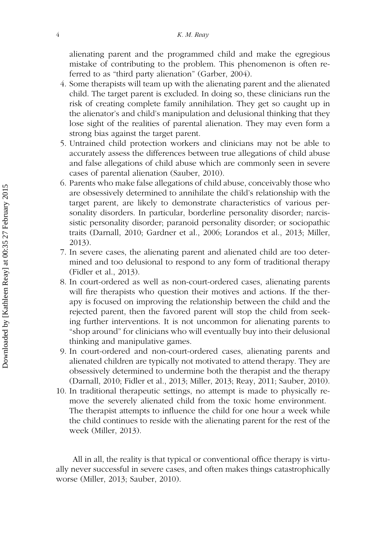alienating parent and the programmed child and make the egregious mistake of contributing to the problem. This phenomenon is often referred to as "third party alienation" (Garber, 2004).

- 4. Some therapists will team up with the alienating parent and the alienated child. The target parent is excluded. In doing so, these clinicians run the risk of creating complete family annihilation. They get so caught up in the alienator's and child's manipulation and delusional thinking that they lose sight of the realities of parental alienation. They may even form a strong bias against the target parent.
- 5. Untrained child protection workers and clinicians may not be able to accurately assess the differences between true allegations of child abuse and false allegations of child abuse which are commonly seen in severe cases of parental alienation (Sauber, 2010).
- 6. Parents who make false allegations of child abuse, conceivably those who are obsessively determined to annihilate the child's relationship with the target parent, are likely to demonstrate characteristics of various personality disorders. In particular, borderline personality disorder; narcissistic personality disorder; paranoid personality disorder; or sociopathic traits (Darnall, 2010; Gardner et al., 2006; Lorandos et al., 2013; Miller, 2013).
- 7. In severe cases, the alienating parent and alienated child are too determined and too delusional to respond to any form of traditional therapy (Fidler et al., 2013).
- 8. In court-ordered as well as non-court-ordered cases, alienating parents will fire therapists who question their motives and actions. If the therapy is focused on improving the relationship between the child and the rejected parent, then the favored parent will stop the child from seeking further interventions. It is not uncommon for alienating parents to "shop around" for clinicians who will eventually buy into their delusional thinking and manipulative games.
- 9. In court-ordered and non-court-ordered cases, alienating parents and alienated children are typically not motivated to attend therapy. They are obsessively determined to undermine both the therapist and the therapy (Darnall, 2010; Fidler et al., 2013; Miller, 2013; Reay, 2011; Sauber, 2010).
- 10. In traditional therapeutic settings, no attempt is made to physically remove the severely alienated child from the toxic home environment. The therapist attempts to influence the child for one hour a week while the child continues to reside with the alienating parent for the rest of the week (Miller, 2013).

All in all, the reality is that typical or conventional office therapy is virtually never successful in severe cases, and often makes things catastrophically worse (Miller, 2013; Sauber, 2010).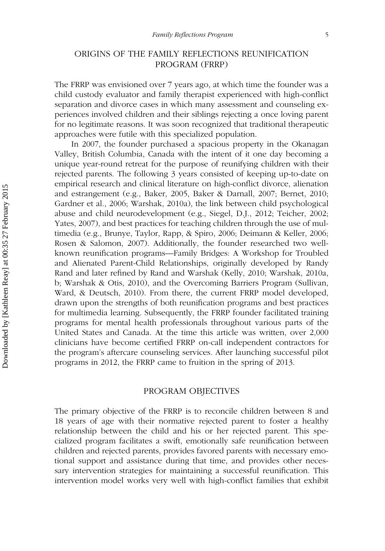### ORIGINS OF THE FAMILY REFLECTIONS REUNIFICATION PROGRAM (FRRP)

The FRRP was envisioned over 7 years ago, at which time the founder was a child custody evaluator and family therapist experienced with high-conflict separation and divorce cases in which many assessment and counseling experiences involved children and their siblings rejecting a once loving parent for no legitimate reasons. It was soon recognized that traditional therapeutic approaches were futile with this specialized population.

In 2007, the founder purchased a spacious property in the Okanagan Valley, British Columbia, Canada with the intent of it one day becoming a unique year-round retreat for the purpose of reunifying children with their rejected parents. The following 3 years consisted of keeping up-to-date on empirical research and clinical literature on high-conflict divorce, alienation and estrangement (e.g., Baker, 2005, Baker & Darnall, 2007; Bernet, 2010; Gardner et al., 2006; Warshak, 2010a), the link between child psychological abuse and child neurodevelopment (e.g., Siegel, D.J., 2012; Teicher, 2002; Yates, 2007), and best practices for teaching children through the use of multimedia (e.g., Brunye, Taylor, Rapp, & Spiro, 2006; Deimann & Keller, 2006; Rosen & Salomon, 2007). Additionally, the founder researched two wellknown reunification programs—Family Bridges: A Workshop for Troubled and Alienated Parent-Child Relationships, originally developed by Randy Rand and later refined by Rand and Warshak (Kelly, 2010; Warshak, 2010a, b; Warshak & Otis, 2010), and the Overcoming Barriers Program (Sullivan, Ward, & Deutsch, 2010). From there, the current FRRP model developed, drawn upon the strengths of both reunification programs and best practices for multimedia learning. Subsequently, the FRRP founder facilitated training programs for mental health professionals throughout various parts of the United States and Canada. At the time this article was written, over 2,000 clinicians have become certified FRRP on-call independent contractors for the program's aftercare counseling services. After launching successful pilot programs in 2012, the FRRP came to fruition in the spring of 2013.

#### PROGRAM OBJECTIVES

The primary objective of the FRRP is to reconcile children between 8 and 18 years of age with their normative rejected parent to foster a healthy relationship between the child and his or her rejected parent. This specialized program facilitates a swift, emotionally safe reunification between children and rejected parents, provides favored parents with necessary emotional support and assistance during that time, and provides other necessary intervention strategies for maintaining a successful reunification. This intervention model works very well with high-conflict families that exhibit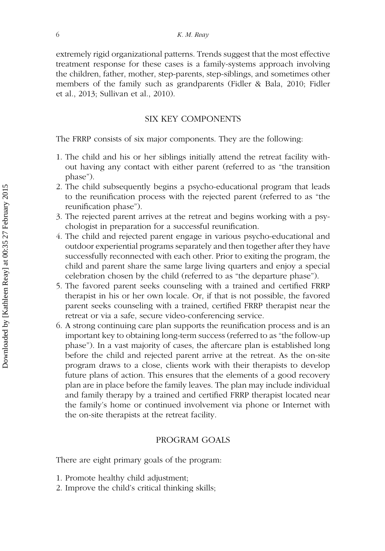extremely rigid organizational patterns. Trends suggest that the most effective treatment response for these cases is a family-systems approach involving the children, father, mother, step-parents, step-siblings, and sometimes other members of the family such as grandparents (Fidler & Bala, 2010; Fidler et al., 2013; Sullivan et al., 2010).

#### SIX KEY COMPONENTS

The FRRP consists of six major components. They are the following:

- 1. The child and his or her siblings initially attend the retreat facility without having any contact with either parent (referred to as "the transition phase").
- 2. The child subsequently begins a psycho-educational program that leads to the reunification process with the rejected parent (referred to as "the reunification phase").
- 3. The rejected parent arrives at the retreat and begins working with a psychologist in preparation for a successful reunification.
- 4. The child and rejected parent engage in various psycho-educational and outdoor experiential programs separately and then together after they have successfully reconnected with each other. Prior to exiting the program, the child and parent share the same large living quarters and enjoy a special celebration chosen by the child (referred to as "the departure phase").
- 5. The favored parent seeks counseling with a trained and certified FRRP therapist in his or her own locale. Or, if that is not possible, the favored parent seeks counseling with a trained, certified FRRP therapist near the retreat or via a safe, secure video-conferencing service.
- 6. A strong continuing care plan supports the reunification process and is an important key to obtaining long-term success (referred to as "the follow-up phase"). In a vast majority of cases, the aftercare plan is established long before the child and rejected parent arrive at the retreat. As the on-site program draws to a close, clients work with their therapists to develop future plans of action. This ensures that the elements of a good recovery plan are in place before the family leaves. The plan may include individual and family therapy by a trained and certified FRRP therapist located near the family's home or continued involvement via phone or Internet with the on-site therapists at the retreat facility.

#### PROGRAM GOALS

There are eight primary goals of the program:

- 1. Promote healthy child adjustment;
- 2. Improve the child's critical thinking skills;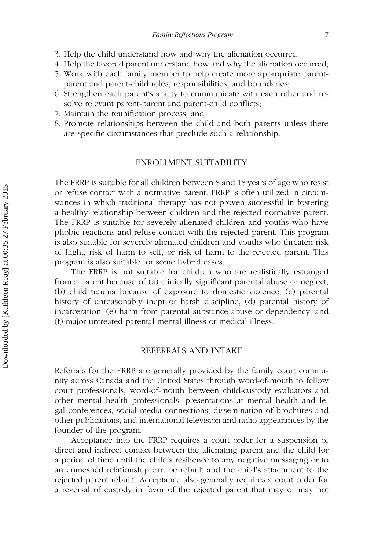- 3. Help the child understand how and why the alienation occurred;
- 4. Help the favored parent understand how and why the alienation occurred;
- 5. Work with each family member to help create more appropriate parentparent and parent-child roles, responsibilities, and boundaries;
- 6. Strengthen each parent's ability to communicate with each other and resolve relevant parent-parent and parent-child conflicts;
- 7. Maintain the reunification process; and
- 8. Promote relationships between the child and both parents unless there are specific circumstances that preclude such a relationship.

#### ENROLLMENT SUITABILITY

The FRRP is suitable for all children between 8 and 18 years of age who resist or refuse contact with a normative parent. FRRP is often utilized in circumstances in which traditional therapy has not proven successful in fostering a healthy relationship between children and the rejected normative parent. The FRRP is suitable for severely alienated children and youths who have phobic reactions and refuse contact with the rejected parent. This program is also suitable for severely alienated children and youths who threaten risk of flight, risk of harm to self, or risk of harm to the rejected parent. This program is also suitable for some hybrid cases.

The FRRP is not suitable for children who are realistically estranged from a parent because of (a) clinically significant parental abuse or neglect, (b) child trauma because of exposure to domestic violence, (c) parental history of unreasonably inept or harsh discipline, (d) parental history of incarceration, (e) harm from parental substance abuse or dependency, and (f) major untreated parental mental illness or medical illness.

#### REFERRALS AND INTAKE

Referrals for the FRRP are generally provided by the family court community across Canada and the United States through word-of-mouth to fellow court professionals, word-of-mouth between child-custody evaluators and other mental health professionals, presentations at mental health and legal conferences, social media connections, dissemination of brochures and other publications, and international television and radio appearances by the founder of the program.

Acceptance into the FRRP requires a court order for a suspension of direct and indirect contact between the alienating parent and the child for a period of time until the child's resilience to any negative messaging or to an enmeshed relationship can be rebuilt and the child's attachment to the rejected parent rebuilt. Acceptance also generally requires a court order for a reversal of custody in favor of the rejected parent that may or may not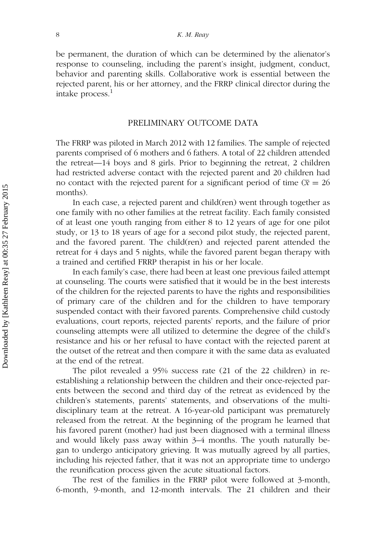be permanent, the duration of which can be determined by the alienator's response to counseling, including the parent's insight, judgment, conduct, behavior and parenting skills. Collaborative work is essential between the rejected parent, his or her attorney, and the FRRP clinical director during the intake process.<sup>1</sup>

#### PRELIMINARY OUTCOME DATA

The FRRP was piloted in March 2012 with 12 families. The sample of rejected parents comprised of 6 mothers and 6 fathers. A total of 22 children attended the retreat—14 boys and 8 girls. Prior to beginning the retreat, 2 children had restricted adverse contact with the rejected parent and 20 children had no contact with the rejected parent for a significant period of time ( $\bar{x} = 26$ ) months).

In each case, a rejected parent and child(ren) went through together as one family with no other families at the retreat facility. Each family consisted of at least one youth ranging from either 8 to 12 years of age for one pilot study, or 13 to 18 years of age for a second pilot study, the rejected parent, and the favored parent. The child(ren) and rejected parent attended the retreat for 4 days and 5 nights, while the favored parent began therapy with a trained and certified FRRP therapist in his or her locale.

In each family's case, there had been at least one previous failed attempt at counseling. The courts were satisfied that it would be in the best interests of the children for the rejected parents to have the rights and responsibilities of primary care of the children and for the children to have temporary suspended contact with their favored parents. Comprehensive child custody evaluations, court reports, rejected parents' reports, and the failure of prior counseling attempts were all utilized to determine the degree of the child's resistance and his or her refusal to have contact with the rejected parent at the outset of the retreat and then compare it with the same data as evaluated at the end of the retreat.

The pilot revealed a 95% success rate (21 of the 22 children) in reestablishing a relationship between the children and their once-rejected parents between the second and third day of the retreat as evidenced by the children's statements, parents' statements, and observations of the multidisciplinary team at the retreat. A 16-year-old participant was prematurely released from the retreat. At the beginning of the program he learned that his favored parent (mother) had just been diagnosed with a terminal illness and would likely pass away within 3–4 months. The youth naturally began to undergo anticipatory grieving. It was mutually agreed by all parties, including his rejected father, that it was not an appropriate time to undergo the reunification process given the acute situational factors.

The rest of the families in the FRRP pilot were followed at 3-month, 6-month, 9-month, and 12-month intervals. The 21 children and their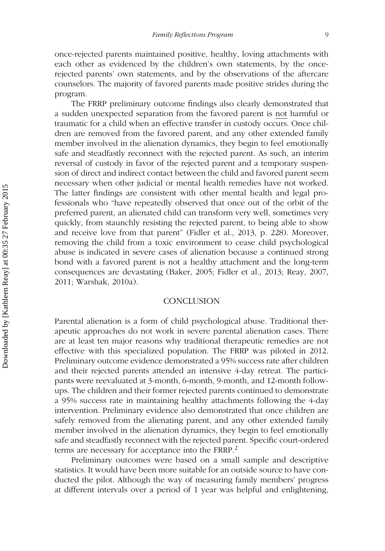once-rejected parents maintained positive, healthy, loving attachments with each other as evidenced by the children's own statements, by the oncerejected parents' own statements, and by the observations of the aftercare counselors. The majority of favored parents made positive strides during the program.

The FRRP preliminary outcome findings also clearly demonstrated that a sudden unexpected separation from the favored parent is not harmful or traumatic for a child when an effective transfer in custody occurs. Once children are removed from the favored parent, and any other extended family member involved in the alienation dynamics, they begin to feel emotionally safe and steadfastly reconnect with the rejected parent. As such, an interim reversal of custody in favor of the rejected parent and a temporary suspension of direct and indirect contact between the child and favored parent seem necessary when other judicial or mental health remedies have not worked. The latter findings are consistent with other mental health and legal professionals who "have repeatedly observed that once out of the orbit of the preferred parent, an alienated child can transform very well, sometimes very quickly, from staunchly resisting the rejected parent, to being able to show and receive love from that parent" (Fidler et al., 2013, p. 228). Moreover, removing the child from a toxic environment to cease child psychological abuse is indicated in severe cases of alienation because a continued strong bond with a favored parent is not a healthy attachment and the long-term consequences are devastating (Baker, 2005; Fidler et al., 2013; Reay, 2007, 2011; Warshak, 2010a).

#### **CONCLUSION**

Parental alienation is a form of child psychological abuse. Traditional therapeutic approaches do not work in severe parental alienation cases. There are at least ten major reasons why traditional therapeutic remedies are not effective with this specialized population. The FRRP was piloted in 2012. Preliminary outcome evidence demonstrated a 95% success rate after children and their rejected parents attended an intensive 4-day retreat. The participants were reevaluated at 3-month, 6-month, 9-month, and 12-month followups. The children and their former rejected parents continued to demonstrate a 95% success rate in maintaining healthy attachments following the 4-day intervention. Preliminary evidence also demonstrated that once children are safely removed from the alienating parent, and any other extended family member involved in the alienation dynamics, they begin to feel emotionally safe and steadfastly reconnect with the rejected parent. Specific court-ordered terms are necessary for acceptance into the FRRP.<sup>2</sup>

Preliminary outcomes were based on a small sample and descriptive statistics. It would have been more suitable for an outside source to have conducted the pilot. Although the way of measuring family members' progress at different intervals over a period of 1 year was helpful and enlightening,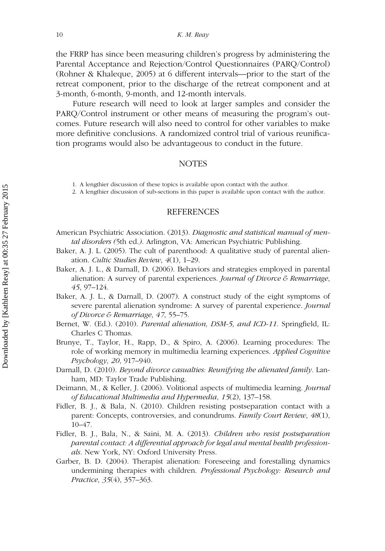the FRRP has since been measuring children's progress by administering the Parental Acceptance and Rejection/Control Questionnaires (PARQ/Control) (Rohner & Khaleque, 2005) at 6 different intervals—prior to the start of the retreat component, prior to the discharge of the retreat component and at 3-month, 6-month, 9-month, and 12-month intervals.

Future research will need to look at larger samples and consider the PARQ/Control instrument or other means of measuring the program's outcomes. Future research will also need to control for other variables to make more definitive conclusions. A randomized control trial of various reunification programs would also be advantageous to conduct in the future.

#### **NOTES**

1. A lengthier discussion of these topics is available upon contact with the author.

2. A lengthier discussion of sub-sections in this paper is available upon contact with the author.

#### REFERENCES

- American Psychiatric Association. (2013). *Diagnostic and statistical manual of mental disorders (*5th ed.*)*. Arlington, VA: American Psychiatric Publishing.
- Baker, A. J. L. (2005). The cult of parenthood: A qualitative study of parental alienation. *Cultic Studies Review*, *4*(1), 1–29.
- Baker, A. J. L., & Darnall, D. (2006). Behaviors and strategies employed in parental alienation: A survey of parental experiences. *Journal of Divorce & Remarriage*, *45*, 97–124.
- Baker, A. J. L., & Darnall, D. (2007). A construct study of the eight symptoms of severe parental alienation syndrome: A survey of parental experience. *Journal of Divorce & Remarriage*, *47*, 55–75.
- Bernet, W. (Ed.). (2010). *Parental alienation, DSM-5, and ICD-11*. Springfield, IL: Charles C Thomas.
- Brunye, T., Taylor, H., Rapp, D., & Spiro, A. (2006). Learning procedures: The role of working memory in multimedia learning experiences. *Applied Cognitive Psychology*, *20*, 917–940.
- Darnall, D. (2010). *Beyond divorce casualties: Reunifying the alienated family*. Lanham, MD: Taylor Trade Publishing.
- Deimann, M., & Keller, J. (2006). Volitional aspects of multimedia learning. *Journal of Educational Multimedia and Hypermedia*, *15*(2), 137–158.
- Fidler, B. J., & Bala, N. (2010). Children resisting postseparation contact with a parent: Concepts, controversies, and conundrums. *Family Court Review*, *48*(1), 10–47.
- Fidler, B. J., Bala, N., & Saini, M. A. (2013). *Children who resist postseparation parental contact: A differential approach for legal and mental health professionals*. New York, NY: Oxford University Press.
- Garber, B. D. (2004). Therapist alienation: Foreseeing and forestalling dynamics undermining therapies with children. *Professional Psychology: Research and Practice*, *35*(4), 357–363.